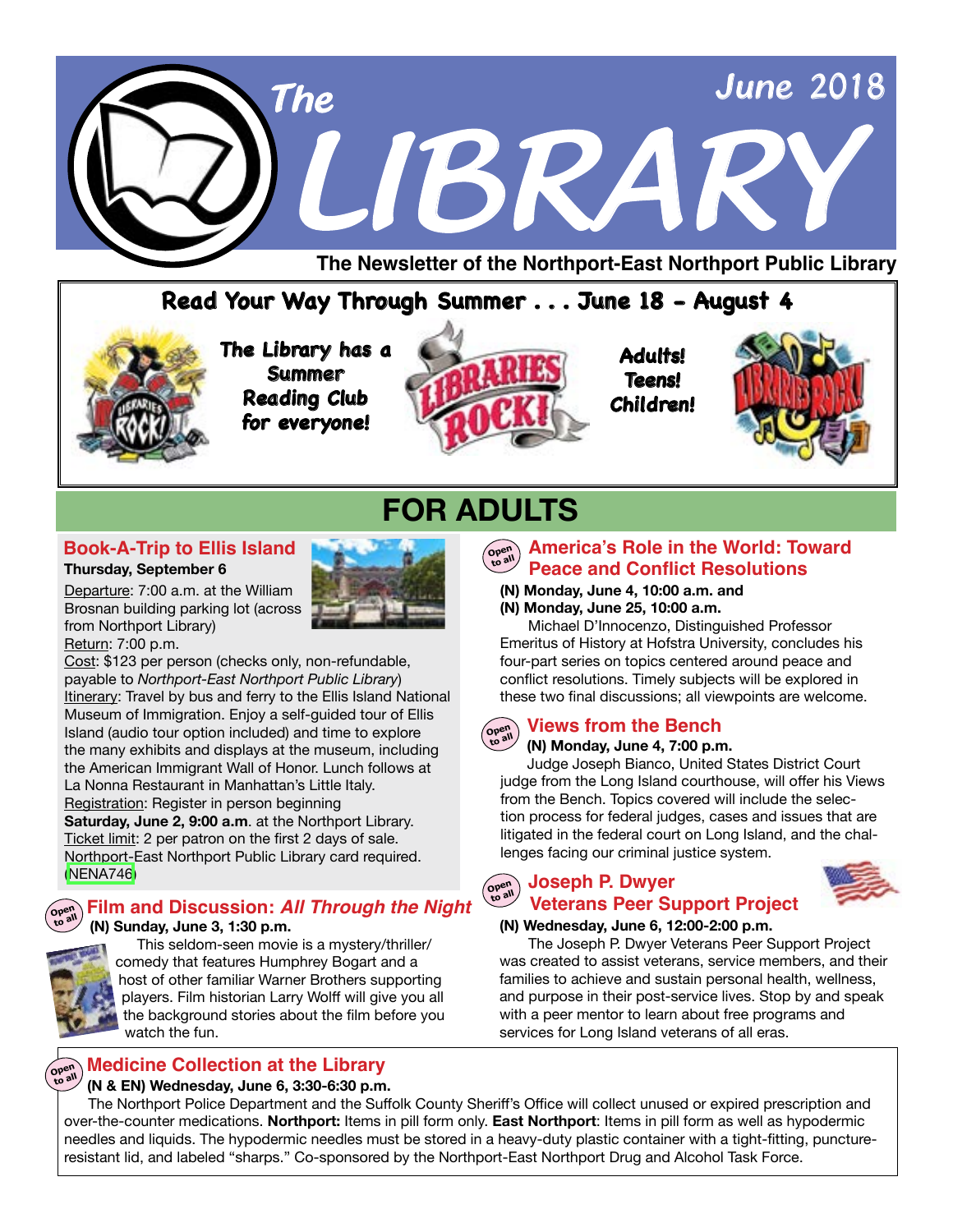

# **Read Your Way Through Summer . . . June 18 - August 4**

**The Library has a Summer Reading Club for everyone!**



**Adults! Teens! Children!**



# **FOR ADULTS**

## **Book-A-Trip to Ellis Island**

#### **Thursday, September 6**

Departure: 7:00 a.m. at the William Brosnan building parking lot (across from Northport Library) Return: 7:00 p.m.

Cost: \$123 per person (checks only, non-refundable, payable to *Northport-East Northport Public Library*) Itinerary: Travel by bus and ferry to the Ellis Island National Museum of Immigration. Enjoy a self-guided tour of Ellis Island (audio tour option included) and time to explore the many exhibits and displays at the museum, including the American Immigrant Wall of Honor. Lunch follows at La Nonna Restaurant in Manhattan's Little Italy. Registration: Register in person beginning **Saturday, June 2, 9:00 a.m**. at the Northport Library. Ticket limit: 2 per patron on the first 2 days of sale. Northport-East Northport Public Library card required. ([NENA746](https://search.livebrary.com/record%3Dg1082257~S43)) **Open** 

#### **Film and Discussion: All Through the Night (N) Sunday, June 3, 1:30 p.m.**



This seldom-seen movie is a mystery/thriller/ comedy that features Humphrey Bogart and a host of other familiar Warner Brothers supporting players. Film historian Larry Wolff will give you all the background stories about the film before you watch the fun.



# **Medicine Collection at the Library**

#### **(N & EN) Wednesday, June 6, 3:30-6:30 p.m.**

 The Northport Police Department and the Suffolk County Sheriff's Office will collect unused or expired prescription and over-the-counter medications. **Northport:** Items in pill form only. **East Northport**: Items in pill form as well as hypodermic needles and liquids. The hypodermic needles must be stored in a heavy-duty plastic container with a tight-fitting, punctureresistant lid, and labeled "sharps." Co-sponsored by the Northport-East Northport Drug and Alcohol Task Force.

#### **Open America's Role in the World: Toward**<br> **Passe and Conflict Beacly tines Peace and Conflict Resolutions**

- **(N) Monday, June 4, 10:00 a.m. and**
- **(N) Monday, June 25, 10:00 a.m.**

Michael D'Innocenzo, Distinguished Professor Emeritus of History at Hofstra University, concludes his four-part series on topics centered around peace and conflict resolutions. Timely subjects will be explored in these two final discussions; all viewpoints are welcome.

#### **Open to all Views from the Bench**

#### **(N) Monday, June 4, 7:00 p.m.**

Judge Joseph Bianco, United States District Court judge from the Long Island courthouse, will offer his Views from the Bench. Topics covered will include the selection process for federal judges, cases and issues that are litigated in the federal court on Long Island, and the challenges facing our criminal justice system.

#### **to all Joseph P. Dwyer Veterans Peer Support Project**



**(N) Wednesday, June 6, 12:00-2:00 p.m.**

 The Joseph P. Dwyer Veterans Peer Support Project was created to assist veterans, service members, and their families to achieve and sustain personal health, wellness, and purpose in their post-service lives. Stop by and speak with a peer mentor to learn about free programs and services for Long Island veterans of all eras.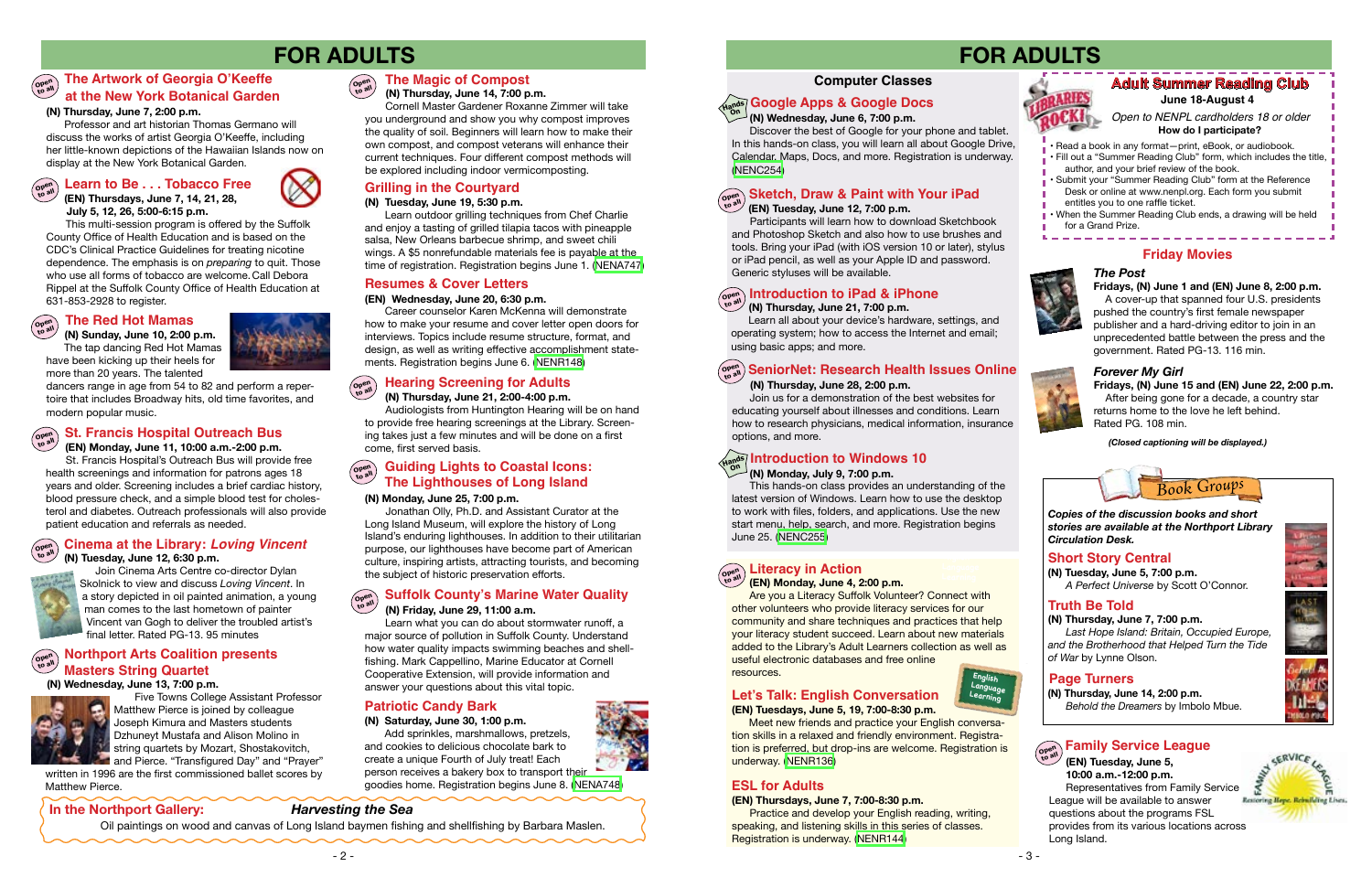# **FOR ADULTS**

 **(N) Tuesday, June 12, 6:30 p.m.**







#### **Open Hearing Screening for Adults**

 **(N) Sunday, June 10, 2:00 p.m.** The tap dancing Red Hot Mamas have been kicking up their heels for more than 20 years. The talented **to all**



dancers range in age from 54 to 82 and perform a repertoire that includes Broadway hits, old time favorites, and modern popular music.

#### $\begin{pmatrix} \text{open} \\ \text{to all} \end{pmatrix}$ **St. Francis Hospital Outreach Bus**

#### **Open The Red Hot Mamas**

#### **Open to all Guiding Lights to Coastal Icons: The Lighthouses of Long Island**

 **(EN) Monday, June 11, 10:00 a.m.-2:00 p.m.** St. Francis Hospital's Outreach Bus will provide free health screenings and information for patrons ages 18 years and older. Screening includes a brief cardiac history, blood pressure check, and a simple blood test for cholesterol and diabetes. Outreach professionals will also provide patient education and referrals as needed.

## **Cinema at the Library: Loving Vincent**



 **(N) Thursday, June 21, 2:00-4:00 p.m.**

Audiologists from Huntington Hearing will be on hand to provide free hearing screenings at the Library. Screening takes just a few minutes and will be done on a first come, first served basis.

#### **(N) Monday, June 25, 7:00 p.m.**

Jonathan Olly, Ph.D. and Assistant Curator at the Long Island Museum, will explore the history of Long Island's enduring lighthouses. In addition to their utilitarian purpose, our lighthouses have become part of American culture, inspiring artists, attracting tourists, and becoming the subject of historic preservation efforts.

#### **(N) Tuesday, June 19, 5:30 p.m.**

 Learn outdoor grilling techniques from Chef Charlie and enjoy a tasting of grilled tilapia tacos with pineapple salsa, New Orleans barbecue shrimp, and sweet chili wings. A \$5 nonrefundable materials fee is payable at the time of registration. Registration begins June 1. ([NENA747\)](https://search.livebrary.com/record%3Dg1082346~S43)

### **Grilling in the Courtyard**

### **(N) Thursday, June 14, 7:00 p.m.**

Five Towns College Assistant Professor Matthew Pierce is joined by colleague Joseph Kimura and Masters students Dzhuneyt Mustafa and Alison Molino in string quartets by Mozart, Shostakovitch, and Pierce. "Transfigured Day" and "Prayer"

#### **The Magic of Compost Open to all**

Cornell Master Gardener Roxanne Zimmer will take you underground and show you why compost improves the quality of soil. Beginners will learn how to make their own compost, and compost veterans will enhance their current techniques. Four different compost methods will be explored including indoor vermicomposting.

 **(EN) Thursdays, June 7, 14, 21, 28, July 5, 12, 26, 5:00-6:15 p.m.** 

#### **(EN) Tuesdays, June 5, 19, 7:00-8:30 p.m. Let's Talk: English Conversation**

**Learn to Be . . . Tobacco Free Open to all**



 This multi-session program is offered by the Suffolk County Office of Health Education and is based on the CDC's Clinical Practice Guidelines for treating nicotine dependence. The emphasis is on *preparing* to quit. Those who use all forms of tobacco are welcome. Call Debora Rippel at the Suffolk County Office of Health Education at 631-853-2928 to register.

#### **(N) Thursday, June 7, 2:00 p.m.**

Professor and art historian Thomas Germano will discuss the works of artist Georgia O'Keeffe, including her little-known depictions of the Hawaiian Islands now on display at the New York Botanical Garden.

#### **Open to all The Artwork of Georgia O'Keeffe at the New York Botanical Garden**

#### **(N) Saturday, June 30, 1:00 p.m.**

 Add sprinkles, marshmallows, pretzels, and cookies to delicious chocolate bark to create a unique Fourth of July treat! Each person receives a bakery box to transport their

goodies home. Registration begins June 8. [\(NENA748\)](https://search.livebrary.com/record%3Dg1082389~S43)



### **Patriotic Candy Bark**

#### **(EN) Wednesday, June 20, 6:30 p.m.**

 Career counselor Karen McKenna will demonstrate how to make your resume and cover letter open doors for interviews. Topics include resume structure, format, and design, as well as writing effective accomplishment statements. Registration begins June 6. ([NENR148\)](https://search.livebrary.com/record%3Dg1082635~S43)

### **Resumes & Cover Letters**

#### **(N) Friday, June 29, 11:00 a.m.**

#### **Suffolk County's Marine Water Quality Open to all**

Learn what you can do about stormwater runoff, a major source of pollution in Suffolk County. Understand how water quality impacts swimming beaches and shellfishing. Mark Cappellino, Marine Educator at Cornell Cooperative Extension, will provide information and answer your questions about this vital topic.

> **(EN) Tuesday, June 5, 10:00 a.m.-12:00 p.m. Representatives from Family Service** League will be available to answer questions about the programs FSL provides from its various locations across Long Island. **open**<br>to all



 **(N) Wednesday, June 13, 7:00 p.m.**



## **Northport Arts Coalition presents Open to all Masters String Quartet**

written in 1996 are the first commissioned ballet scores by Matthew Pierce.

### **In the Northport Gallery:** *Harvesting the Sea*

Oil paintings on wood and canvas of Long Island baymen fishing and shellfishing by Barbara Maslen.

#### **(N) Thursday, June 7, 7:00 p.m.**

 *Last Hope Island: Britain, Occupied Europe, and the Brotherhood that Helped Turn the Tide of War* by Lynne Olson.



**(N) Tuesday, June 5, 7:00 p.m.** *A Perfect Universe* by Scott O'Connor.

**(N) Thursday, June 14, 2:00 p.m.** *Behold the Dreamers* by Imbolo Mbue.

## **Family Service League**

*Copies of the discussion books and short stories are available at the Northport Library Circulation Desk.* 

# **FOR ADULTS**

*(Closed captioning will be displayed.)*

#### **Truth Be Told**

#### **Short Story Central**

#### **Page Turners**

 Meet new friends and practice your English conversation skills in a relaxed and friendly environment. Registration is preferred, but drop-ins are welcome. Registration is underway. ([NENR136](https://search.livebrary.com/record%3Dg1078766~S43))

### **ESL for Adults**

#### **(EN) Thursdays, June 7, 7:00-8:30 p.m.**

 Practice and develop your English reading, writing, speaking, and listening skills in this series of classes. Registration is underway. ([NENR144\)](https://search.livebrary.com/record%3Dg1081101~S43)

# **English Language**

## **Literacy in Action**

#### **(EN) Monday, June 4, 2:00 p.m.**

 Are you a Literacy Suffolk Volunteer? Connect with other volunteers who provide literacy services for our community and share techniques and practices that help your literacy student succeed. Learn about new materials added to the Library's Adult Learners collection as well as useful electronic databases and free online resources.

**Open to all**

### **Computer Classes**

# **Google Apps & Google Docs**

#### **(N) Wednesday, June 6, 7:00 p.m.**

Discover the best of Google for your phone and tablet. In this hands-on class, you will learn all about Google Drive, Calendar, Maps, Docs, and more. Registration is underway. [\(NENC254\)](https://search.livebrary.com/record%3Dg1081933~S43)

**Hands On**

#### **(EN) Tuesday, June 12, 7:00 p.m.**

Participants will learn how to download Sketchbook and Photoshop Sketch and also how to use brushes and tools. Bring your iPad (with iOS version 10 or later), stylus or iPad pencil, as well as your Apple ID and password. Generic styluses will be available.

#### **Open to all Sketch, Draw & Paint with Your iPad**

**(N) Thursday, June 21, 7:00 p.m.**

Learn all about your device's hardware, settings, and operating system; how to access the Internet and email; using basic apps; and more.

#### **Open to all Introduction to iPad & iPhone**

#### **(N) Monday, July 9, 7:00 p.m.**

This hands-on class provides an understanding of the latest version of Windows. Learn how to use the desktop to work with files, folders, and applications. Use the new start menu, help, search, and more. Registration begins June 25. [\(NENC255\)](https://search.livebrary.com/record%3Dg1040832~S43)

# **Hands On Introduction to Windows 10**

#### **(N) Thursday, June 28, 2:00 p.m.**

 Join us for a demonstration of the best websites for educating yourself about illnesses and conditions. Learn how to research physicians, medical information, insurance options, and more.

#### **Open to all SeniorNet: Research Health Issues Online**

- Read a book in any format—print, eBook, or audiobook.
- Fill out a "Summer Reading Club" form, which includes the title, author, and your brief review of the book.
- Submit your "Summer Reading Club" form at the Reference Desk or online at www.nenpl.org. Each form you submit entitles you to one raffle ticket.
- When the Summer Reading Club ends, a drawing will be held for a Grand Prize.
- 

*Open to NENPL cardholders 18 or older* **How do I participate?**

## **Friday Movies**



*The Post*

#### **Fridays, (N) June 1 and (EN) June 8, 2:00 p.m.**

 A cover-up that spanned four U.S. presidents pushed the country's first female newspaper publisher and a hard-driving editor to join in an unprecedented battle between the press and the government. Rated PG-13. 116 min.



#### **Adult Summer Reading Club June 18-August 4**

#### *Forever My Girl*

**Fridays, (N) June 15 and (EN) June 22, 2:00 p.m.**  After being gone for a decade, a country star returns home to the love he left behind. Rated PG. 108 min.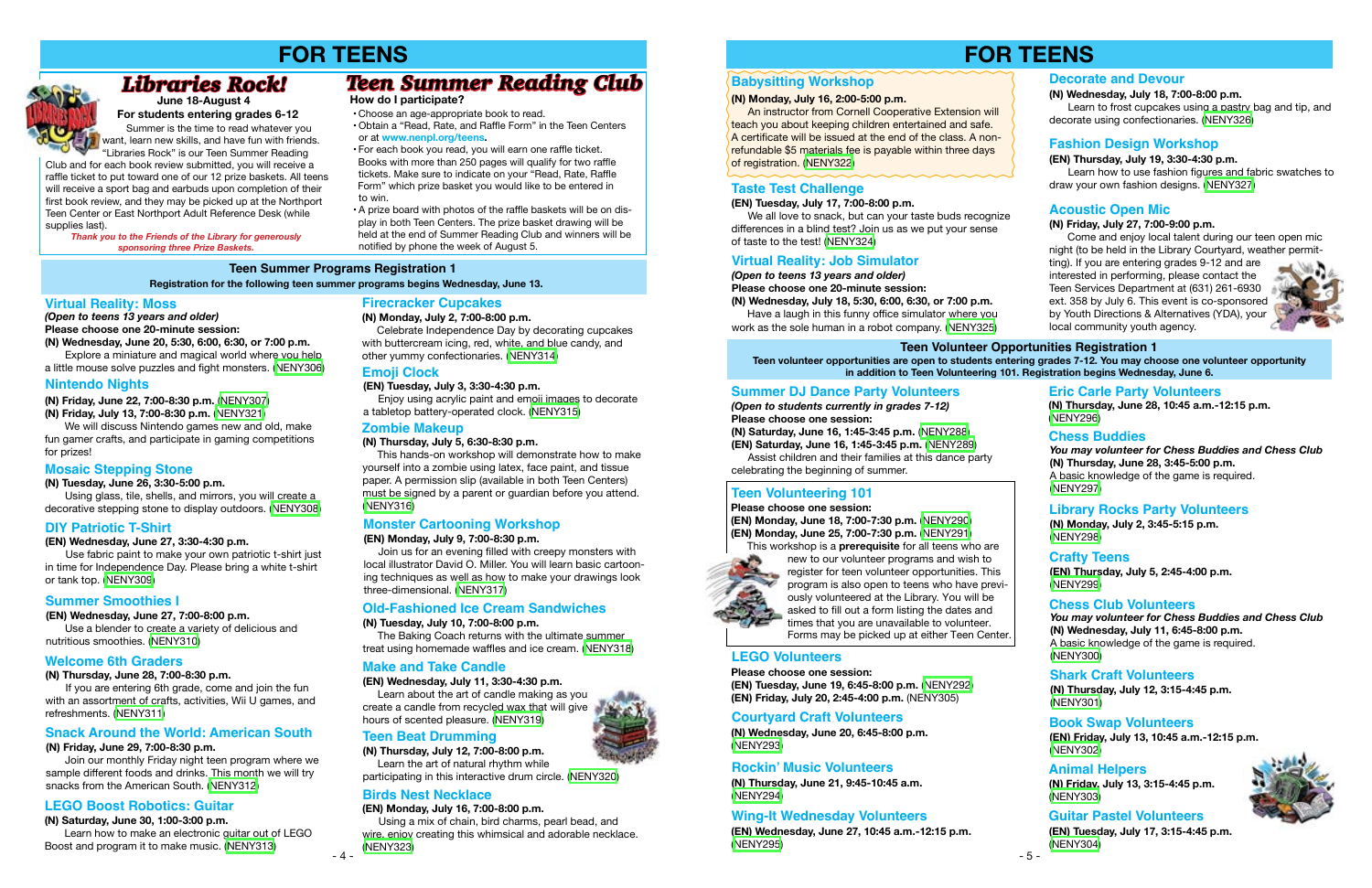# **FOR TEENS**



- 5 -

#### **(N) Monday, July 16, 2:00-5:00 p.m.**

An instructor from Cornell Cooperative Extension will teach you about keeping children entertained and safe. A certificate will be issued at the end of the class. A nonrefundable \$5 materials fee is payable within three days of registration. ([NENY322](https://search.livebrary.com/record%3Dg1082172~S43))

# **Babysitting Workshop**

#### **(EN) Tuesday, July 17, 7:00-8:00 p.m.**

We all love to snack, but can your taste buds recognize differences in a blind test? Join us as we put your sense of taste to the test! ([NENY324](https://search.livebrary.com/record%3Dg1082175~S43))

#### **Taste Test Challenge**

#### *(Open to teens 13 years and older)* **Please choose one 20-minute session: (N) Wednesday, July 18, 5:30, 6:00, 6:30, or 7:00 p.m.**

 Have a laugh in this funny office simulator where you work as the sole human in a robot company. ([NENY325](https://search.livebrary.com/record%3Dg1082188~S43))

#### **Virtual Reality: Job Simulator**

**(N) Wednesday, July 18, 7:00-8:00 p.m.** Learn to frost cupcakes using a pastry bag and tip, and decorate using confectionaries. ([NENY326](https://search.livebrary.com/record%3Dg1082178~S43))

#### **Decorate and Devour**

#### **(EN) Thursday, July 19, 3:30-4:30 p.m.**

Learn how to use fashion figures and fabric swatches to draw your own fashion designs. [\(NENY327\)](https://search.livebrary.com/record%3Dg1082179~S43)

#### **Fashion Design Workshop**

#### **(N) Friday, July 27, 7:00-9:00 p.m.**

Come and enjoy local talent during our teen open mic night (to be held in the Library Courtyard, weather permitting). If you are entering grades 9-12 and are

interested in performing, please contact the Teen Services Department at (631) 261-6930 ext. 358 by July 6. This event is co-sponsored by Youth Directions & Alternatives (YDA), your local community youth agency.



#### **Acoustic Open Mic**

#### **Teen Volunteer Opportunities Registration 1**

**Teen volunteer opportunities are open to students entering grades 7-12. You may choose one volunteer opportunity in addition to Teen Volunteering 101. Registration begins Wednesday, June 6.** 

*(Open to students currently in grades 7-12)* **Please choose one session:**

**(N) Saturday, June 16, 1:45-3:45 p.m.** ([NENY288](https://search.livebrary.com/record%3Dg1082049~S43))

**(EN) Saturday, June 16, 1:45-3:45 p.m.** ([NENY289](https://search.livebrary.com/record%3Dg1082051~S43)) Assist children and their families at this dance party celebrating the beginning of summer.

#### **Summer DJ Dance Party Volunteers**

**Please choose one session:**

**(EN) Monday, June 18, 7:00-7:30 p.m.** [\(NENY290\)](https://search.livebrary.com/record%3Dg1082052~S43) **(EN) Monday, June 25, 7:00-7:30 p.m.** [\(NENY291\)](https://search.livebrary.com/record%3Dg1082073~S43)



 This workshop is a **prerequisite** for all teens who are new to our volunteer programs and wish to register for teen volunteer opportunities. This program is also open to teens who have previously volunteered at the Library. You will be asked to fill out a form listing the dates and times that you are unavailable to volunteer. Forms may be picked up at either Teen Center.

#### **Teen Volunteering 101**

**Please choose one session:**

**(EN) Tuesday, June 19, 6:45-8:00 p.m.** [\(NENY292](https://search.livebrary.com/record%3Dg1082053~S43)) **(EN) Friday, July 20, 2:45-4:00 p.m.** (NENY305)

## **LEGO Volunteers**

**(N) Wednesday, June 20, 6:45-8:00 p.m.** ([NENY293](https://search.livebrary.com/record%3Dg1082055~S43))

### **Courtyard Craft Volunteers**

**(N) Thursday, June 21, 9:45-10:45 a.m.** ([NENY294](https://search.livebrary.com/record%3Dg1082057~S43))

#### **Rockin' Music Volunteers**

**(EN) Wednesday, June 27, 10:45 a.m.-12:15 p.m.**  ([NENY295](https://search.livebrary.com/record%3Dg1082079~S43))









#### **Wing-It Wednesday Volunteers**

*You may volunteer for Chess Buddies and Chess Club* **(N) Thursday, June 28, 3:45-5:00 p.m.** A basic knowledge of the game is required. ([NENY297](https://search.livebrary.com/record%3Dg1082093~S43))

#### **Chess Buddies**

**(N) Monday, July 2, 3:45-5:15 p.m.** ([NENY298](https://search.livebrary.com/record%3Dg1082097~S43))

### **Library Rocks Party Volunteers**

**(EN) Thursday, July 5, 2:45-4:00 p.m.** ([NENY299](https://search.livebrary.com/record%3Dg1082107~S43))

#### **Crafty Teens**

*You may volunteer for Chess Buddies and Chess Club* **(N) Wednesday, July 11, 6:45-8:00 p.m.** A basic knowledge of the game is required. [\(NENY300\)](https://search.livebrary.com/record%3Dg1082116~S43)

#### **Chess Club Volunteers**

**(N) Thursday, July 12, 3:15-4:45 p.m.** [\(NENY301\)](https://search.livebrary.com/record%3Dg1082122~S43)

#### **Shark Craft Volunteers**

**(EN) Friday, July 13, 10:45 a.m.-12:15 p.m.** ([NENY302](https://search.livebrary.com/record%3Dg1082127~S43))

**Book Swap Volunteers**

**(N) Friday, July 13, 3:15-4:45 p.m.** [\(NENY303\)](https://search.livebrary.com/record%3Dg1082133~S43)

#### **Animal Helpers**

**(EN) Tuesday, July 17, 3:15-4:45 p.m.** [\(NENY304\)](https://search.livebrary.com/record%3Dg1082138~S43)



#### **Guitar Pastel Volunteers**

**(N) Thursday, June 28, 10:45 a.m.-12:15 p.m.** ([NENY296](https://search.livebrary.com/record%3Dg1082086~S43))

#### **Eric Carle Party Volunteers**

*(Open to teens 13 years and older)*

**Please choose one 20-minute session:**

**(N) Wednesday, June 20, 5:30, 6:00, 6:30, or 7:00 p.m.** 

Explore a miniature and magical world where you help a little mouse solve puzzles and fight monsters. ([NENY306](https://search.livebrary.com/record%3Dg1082144~S43))

**(N) Friday, June 22, 7:00-8:30 p.m.** ([NENY307](https://search.livebrary.com/record%3Dg1082145~S43))

**(N) Friday, July 13, 7:00-8:30 p.m.** ([NENY321](https://search.livebrary.com/record%3Dg1082171~S43))

Using a mix of chain, bird charms, pearl bead, and wire, enjoy creating this whimsical and adorable necklace. ([NENY323](https://search.livebrary.com/record%3Dg1082173~S43))

 We will discuss Nintendo games new and old, make fun gamer crafts, and participate in gaming competitions for prizes!

#### **(N) Tuesday, June 26, 3:30-5:00 p.m.**

Using glass, tile, shells, and mirrors, you will create a decorative stepping stone to display outdoors. ([NENY308](https://search.livebrary.com/record%3Dg1082146~S43))

**(EN) Wednesday, June 27, 7:00-8:00 p.m.**

 Use a blender to create a variety of delicious and nutritious smoothies. ([NENY310](https://search.livebrary.com/record%3Dg1082148~S43))

## **Teen Summer Programs Registration 1**

# **FOR TEENS**

#### **(N) Thursday, July 5, 6:30-8:30 p.m.**

 This hands-on workshop will demonstrate how to make yourself into a zombie using latex, face paint, and tissue paper. A permission slip (available in both Teen Centers) must be signed by a parent or guardian before you attend. ([NENY316](https://search.livebrary.com/record%3Dg1082166~S43))

#### **(N) Tuesday, July 10, 7:00-8:00 p.m.**

 The Baking Coach returns with the ultimate summer treat using homemade waffles and ice cream. ([NENY318](https://search.livebrary.com/record%3Dg1082168~S43))

#### **Virtual Reality: Moss**

#### **Nintendo Nights**

#### **Mosaic Stepping Stone**

#### **Summer Smoothies I**

#### **Zombie Makeup**

#### **Old-Fashioned Ice Cream Sandwiches**

**Registration for the following teen summer programs begins Wednesday, June 13.**

*Thank you to the Friends of the Library for generously sponsoring three Prize Baskets.*

# *Libraries Rock!*



- Choose an age-appropriate book to read.
- Obtain a "Read, Rate, and Raffle Form" in the Teen Centers or at **www.nenpl.org/teens.**
- For each book you read, you will earn one raffle ticket. Books with more than 250 pages will qualify for two raffle tickets. Make sure to indicate on your "Read, Rate, Raffle Form" which prize basket you would like to be entered in to win.

 • A prize board with photos of the raffle baskets will be on dis play in both Teen Centers. The prize basket drawing will be held at the end of Summer Reading Club and winners will be notified by phone the week of August 5.

#### **How do I participate?**

Summer is the time to read whatever you want, learn new skills, and have fun with friends. "Libraries Rock" is our Teen Summer Reading

Club and for each book review submitted, you will receive a raffle ticket to put toward one of our 12 prize baskets. All teens will receive a sport bag and earbuds upon completion of their first book review, and they may be picked up at the Northport Teen Center or East Northport Adult Reference Desk (while supplies last).

#### **(EN) Wednesday, June 27, 3:30-4:30 p.m.**

Use fabric paint to make your own patriotic t-shirt just in time for Independence Day. Please bring a white t-shirt or tank top. [\(NENY309\)](https://search.livebrary.com/record%3Dg1082147~S43)

#### **DIY Patriotic T-Shirt**

**(N) Thursday, June 28, 7:00-8:30 p.m.**

If you are entering 6th grade, come and join the fun with an assortment of crafts, activities, Wii U games, and refreshments. ([NENY311](https://search.livebrary.com/record%3Dg1082149~S43))

#### **Welcome 6th Graders**

#### **(N) Friday, June 29, 7:00-8:30 p.m.**

**June 18-August 4 For students entering grades 6-12**

 Join our monthly Friday night teen program where we sample different foods and drinks. This month we will try snacks from the American South. [\(NENY312\)](https://search.livebrary.com/record%3Dg1082150~S43)

#### **Snack Around the World: American South**

#### **(N) Saturday, June 30, 1:00-3:00 p.m.**

 Learn how to make an electronic guitar out of LEGO Boost and program it to make music. ([NENY313](https://search.livebrary.com/record%3Dg1082151~S43))

#### **LEGO Boost Robotics: Guitar**

#### **(N) Monday, July 2, 7:00-8:00 p.m.**

 Celebrate Independence Day by decorating cupcakes with buttercream icing, red, white, and blue candy, and other yummy confectionaries. [\(NENY314\)](https://search.livebrary.com/record%3Dg1082152~S43)

#### **Firecracker Cupcakes**

#### **(EN) Tuesday, July 3, 3:30-4:30 p.m.**

 Enjoy using acrylic paint and emoji images to decorate a tabletop battery-operated clock. [\(NENY315\)](https://search.livebrary.com/record%3Dg1082165~S43)

#### **Emoji Clock**

#### **(EN) Monday, July 9, 7:00-8:30 p.m.**

 Join us for an evening filled with creepy monsters with local illustrator David O. Miller. You will learn basic cartooning techniques as well as how to make your drawings look three-dimensional. [\(NENY317\)](https://search.livebrary.com/record%3Dg1082167~S43)

#### **Monster Cartooning Workshop**

#### **(EN) Wednesday, July 11, 3:30-4:30 p.m.**

 Learn about the art of candle making as you create a candle from recycled wax that will give hours of scented pleasure. ([NENY319](https://search.livebrary.com/record%3Dg1082169~S43))

#### **Make and Take Candle**

**(N) Thursday, July 12, 7:00-8:00 p.m.** Learn the art of natural rhythm while

participating in this interactive drum circle. [\(NENY320\)](https://search.livebrary.com/record%3Dg1082170~S43)

#### **Teen Beat Drumming**

**(EN) Monday, July 16, 7:00-8:00 p.m.**

#### **Birds Nest Necklace**

# *Teen Summer Reading Club*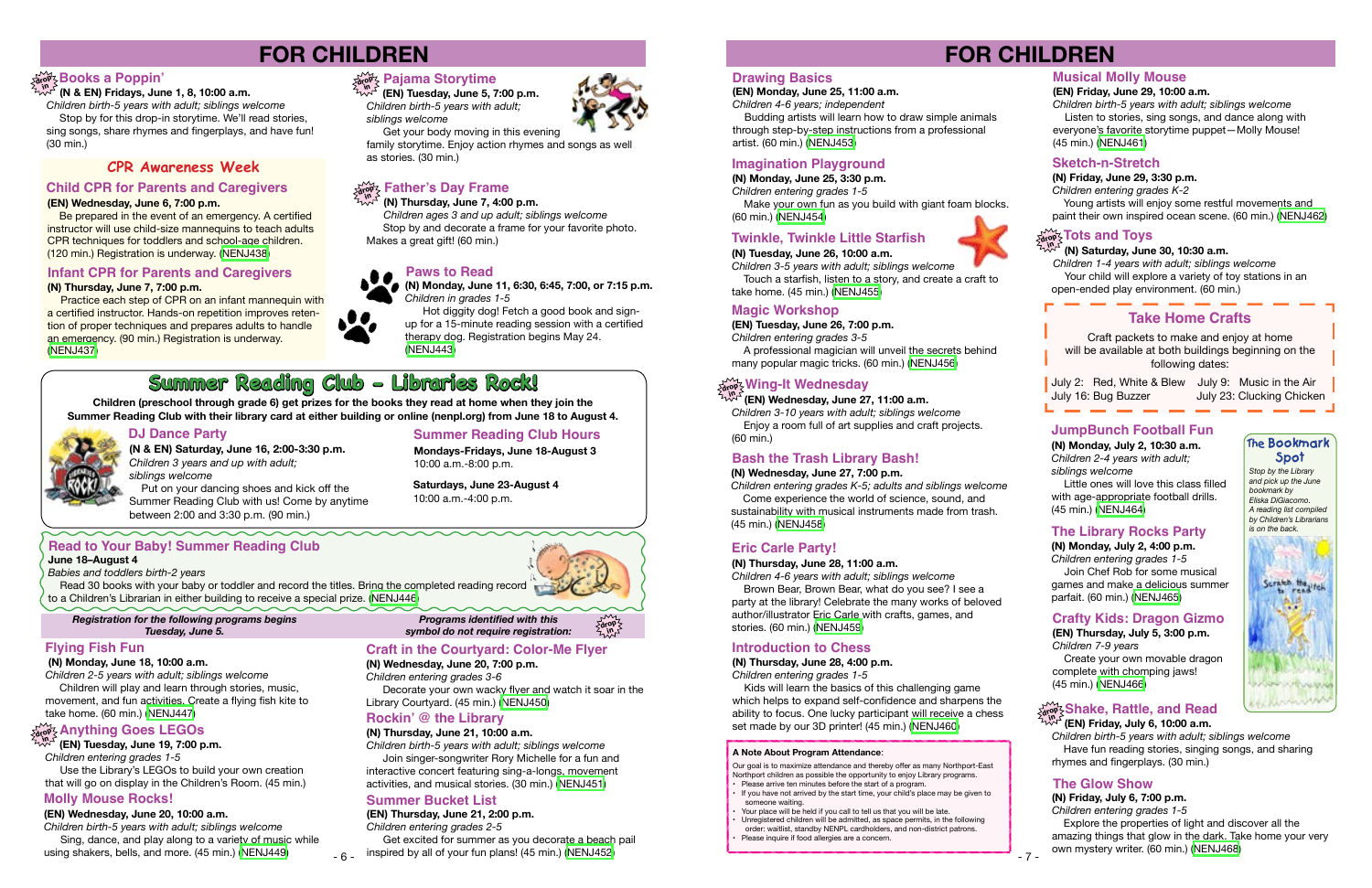- 7 -

# **FOR CHILDREN**

#### **Sketch-n-Stretch**

#### **(N) Friday, June 29, 3:30 p.m.**

*Children entering grades K-2*

 Young artists will enjoy some restful movements and paint their own inspired ocean scene. (60 min.) [\(NENJ462\)](https://search.livebrary.com/record%3Dg1081397~S43)

#### $\frac{1}{\text{deg}}$  Tots and Toys

July 2: Red, White & Blew July 9: Music in the Air July 16: Bug Buzzer July 23: Clucking Chicken

### **Take Home Crafts**

Craft packets to make and enjoy at home will be available at both buildings beginning on the following dates:

#### **(EN) Monday, June 25, 11:00 a.m.**

*Children 4-6 years; independent* Budding artists will learn how to draw simple animals through step-by-step instructions from a professional artist. (60 min.) [\(NENJ453\)](https://search.livebrary.com/record%3Dg1081605~S43)



#### **(N) Monday, June 25, 3:30 p.m.**

*Children entering grades 1-5*

 Make your own fun as you build with giant foam blocks. (60 min.) ([NENJ454\)](https://search.livebrary.com/record%3Dg1081391~S43)

#### **Imagination Playground**

#### **(N) Tuesday, June 26, 10:00 a.m.**

*Children 3-5 years with adult; siblings welcome* Touch a starfish, listen to a story, and create a craft to take home. (45 min.) [\(NENJ455\)](https://search.livebrary.com/record%3Dg1081393~S43)

#### **Twinkle, Twinkle Little Starfish**

**(EN) Tuesday, June 26, 7:00 p.m.**

*Children entering grades 3-5*

 A professional magician will unveil the secrets behind many popular magic tricks. (60 min.) ([NENJ456](https://search.livebrary.com/record%3Dg1081606~S43))

#### **Magic Workshop**

**(EN) Wednesday, June 27, 11:00 a.m.**

# **drop in Wing-It Wednesday**

*Children 3-10 years with adult; siblings welcome* Enjoy a room full of art supplies and craft projects. (60 min.)

**(N) Wednesday, June 27, 7:00 p.m.**

*Children entering grades K-5; adults and siblings welcome* Come experience the world of science, sound, and sustainability with musical instruments made from trash. (45 min.) ([NENJ458\)](https://search.livebrary.com/record%3Dg1081394~S43)

### **Bash the Trash Library Bash!**

- Please arrive ten minutes before the start of a program. If you have not arrived by the start time, your child's place may be given to
- someone waiting. • Your place will be held if you call to tell us that you will be late.
- Unregistered children will be admitted, as space permits, in the following order: waitlist, standby NENPL cardholders, and non-district patrons.
- Please inquire if food allergies are a concern.

#### **(N) Thursday, June 28, 11:00 a.m.**

*Children 4-6 years with adult; siblings welcome* Brown Bear, Brown Bear, what do you see? I see a party at the library! Celebrate the many works of beloved author/illustrator Eric Carle with crafts, games, and stories. (60 min.) ([NENJ459](https://search.livebrary.com/record%3Dg1081395~S43))

### **Eric Carle Party!**

**(N) Thursday, June 28, 4:00 p.m.** *Children entering grades 1-5*

 Kids will learn the basics of this challenging game which helps to expand self-confidence and sharpens the ability to focus. One lucky participant will receive a chess set made by our 3D printer! (45 min.) [\(NENJ460\)](https://search.livebrary.com/record%3Dg1081396~S43)

#### **Introduction to Chess**

*Stop by the Library and pick up the June bookmark by Eliska DiGiacomo. A reading list compiled by Children's Librarians is on the back.*



#### **Spot The Bookmark**

#### **in (N) Saturday, June 30, 10:30 a.m.**

 *Children 1-4 years with adult; siblings welcome* Your child will explore a variety of toy stations in an open-ended play environment. (60 min.)

#### **JumpBunch Football Fun**

**(N) Monday, July 2, 10:30 a.m.** *Children 2-4 years with adult; siblings welcome*

 Little ones will love this class filled with age-appropriate football drills. (45 min.) [\(NENJ464\)](https://search.livebrary.com/record%3Dg1081399~S43)

**Practice each step of CPR on an infant mannequin with** a certified instructor. Hands-on repetition improves retention of proper techniques and prepares adults to handle an emergency. (90 min.) Registration is underway. ([NENJ437](https://search.livebrary.com/record%3Dg1080001~S43))



# $\frac{1}{200}$  Pajama Storytime **in the contract of the contract of the contract of the contract of the contract of the contract of the contract of the contract of the contract of the contract of the contract of the contract**

#### **The Library Rocks Party**

**(N) Monday, July 2, 4:00 p.m.** *Children entering grades 1-5* Join Chef Rob for some musical games and make a delicious summer parfait. (60 min.) ([NENJ465\)](https://search.livebrary.com/record%3Dg1081400~S43)

Be prepared in the event of an emergency. A certified instructor will use child-size mannequins to teach adults CPR techniques for toddlers and school-age children. (120 min.) Registration is underway. [\(NENJ438\)](https://search.livebrary.com/record%3Dg1080005~S43)

#### **Crafty Kids: Dragon Gizmo**

 Get your body moving in this evening family storytime. Enjoy action rhymes and songs as well

> **(EN) Thursday, July 5, 3:00 p.m.** *Children 7-9 years* Create your own movable dragon complete with chomping jaws! (45 min.) [\(NENJ466\)](https://search.livebrary.com/record%3Dg1081613~S43)

Our goal is to maximize attendance and thereby offer as many Northport-East Northport children as possible the opportunity to enjoy Library programs.

#### **A Note About Program Attendance**:

#### **(EN) Friday, July 6, 10:00 a.m.**

# **drop in Shake, Rattle, and Read**

*Children birth-5 years with adult; siblings welcome* Have fun reading stories, singing songs, and sharing rhymes and fingerplays. (30 min.)

**(N) Friday, July 6, 7:00 p.m.** *Children entering grades 1-5*

 Explore the properties of light and discover all the amazing things that glow in the dark. Take home your very own mystery writer. (60 min.) ([NENJ468](https://search.livebrary.com/record%3Dg1081404~S43))

*Programs identified with this symbol do not require registration:* 

#### **The Glow Show**

#### **(EN) Friday, June 29, 10:00 a.m.**

*Children birth-5 years with adult; siblings welcome* Listen to stories, sing songs, and dance along with everyone's favorite storytime puppet—Molly Mouse! (45 min.) ([NENJ461\)](https://search.livebrary.com/record%3Dg1081612~S43)

## **drop Books a Poppin'**

# **FOR CHILDREN**

 **(N & EN) Fridays, June 1, 8, 10:00 a.m.**

*Children birth-5 years with adult; siblings welcome* Stop by for this drop-in storytime. We'll read stories, sing songs, share rhymes and fingerplays, and have fun! (30 min.)

#### **DJ Dance Party**



**Mondays-Fridays, June 18-August 3**

10:00 a.m.-8:00 p.m.

**Summer Reading Club Hours**

**Children (preschool through grade 6) get prizes for the books they read at home when they join the Summer Reading Club with their library card at either building or online (nenpl.org) from June 18 to August 4.** 

 $- 6 -$ 

# **Summer Reading Club - Libraries Rock!**

#### **June 18–August 4**

*Babies and toddlers birth-2 years*

 Read 30 books with your baby or toddler and record the titles. Bring the completed reading record to a Children's Librarian in either building to receive a special prize. [\(NENJ446\)](https://search.livebrary.com/record%3Dg1082266~S43)

# **Read to Your Baby! Summer Reading Club**

#### **Infant CPR for Parents and Caregivers**

#### **(N) Thursday, June 7, 7:00 p.m.**

### **Child CPR for Parents and Caregivers**

#### **(EN) Wednesday, June 6, 7:00 p.m.**

### **CPR Awareness Week**

 **(EN) Tuesday, June 5, 7:00 p.m.** *Children birth-5 years with adult; siblings welcome*

# **drop in Anything Goes LEGOs**

as stories. (30 min.)

 **(N) Thursday, June 7, 4:00 p.m.**

 *Children ages 3 and up adult; siblings welcome* Stop by and decorate a frame for your favorite photo. Makes a great gift! (60 min.)

# **drop Father's Day Frame in**

**(N) Monday, June 11, 6:30, 6:45, 7:00, or 7:15 p.m.** *Children in grades 1-5*

 Hot diggity dog! Fetch a good book and signup for a 15-minute reading session with a certified therapy dog. Registration begins May 24.

([NENJ443](https://search.livebrary.com/record%3Dg1081323~S43))

#### **Paws to Read**

#### **(N & EN) Saturday, June 16, 2:00-3:30 p.m.** *Children 3 years and up with adult; siblings welcome*

 Put on your dancing shoes and kick off the Summer Reading Club with us! Come by anytime between 2:00 and 3:30 p.m. (90 min.)

 **(N) Monday, June 18, 10:00 a.m.**

*Children 2-5 years with adult; siblings welcome* Children will play and learn through stories, music, movement, and fun activities. Create a flying fish kite to take home. (60 min.) ([NENJ447](https://search.livebrary.com/record%3Dg1081387~S43))

#### **Flying Fish Fun**

 **(EN) Tuesday, June 19, 7:00 p.m.**

*Children entering grades 1-5*

 Use the Library's LEGOs to build your own creation that will go on display in the Children's Room. (45 min.)

#### **(EN) Wednesday, June 20, 10:00 a.m.**

*Children birth-5 years with adult; siblings welcome* Sing, dance, and play along to a variety of music while using shakers, bells, and more. (45 min.) [\(NENJ449](https://search.livebrary.com/record%3Dg1081492~S43))

### **Molly Mouse Rocks!**

**(N) Wednesday, June 20, 7:00 p.m.** *Children entering grades 3-6*

 Decorate your own wacky flyer and watch it soar in the Library Courtyard. (45 min.) ([NENJ450\)](https://search.livebrary.com/record%3Dg1081388~S43)

## **Craft in the Courtyard: Color-Me Flyer**

**(N) Thursday, June 21, 10:00 a.m.**

*Children birth-5 years with adult; siblings welcome* Join singer-songwriter Rory Michelle for a fun and interactive concert featuring sing-a-longs, movement activities, and musical stories. (30 min.) [\(NENJ451\)](https://search.livebrary.com/record%3Dg1081389~S43)

## **Rockin' @ the Library**

**(EN) Thursday, June 21, 2:00 p.m.**

*Children entering grades 2-5*

 Get excited for summer as you decorate a beach pail inspired by all of your fun plans! (45 min.) ([NENJ452](https://search.livebrary.com/record%3Dg1081603~S43))

## **Summer Bucket List**

#### *Registration for the following programs begins Tuesday, June 5.*

**Saturdays, June 23-August 4**

10:00 a.m.-4:00 p.m.

**in**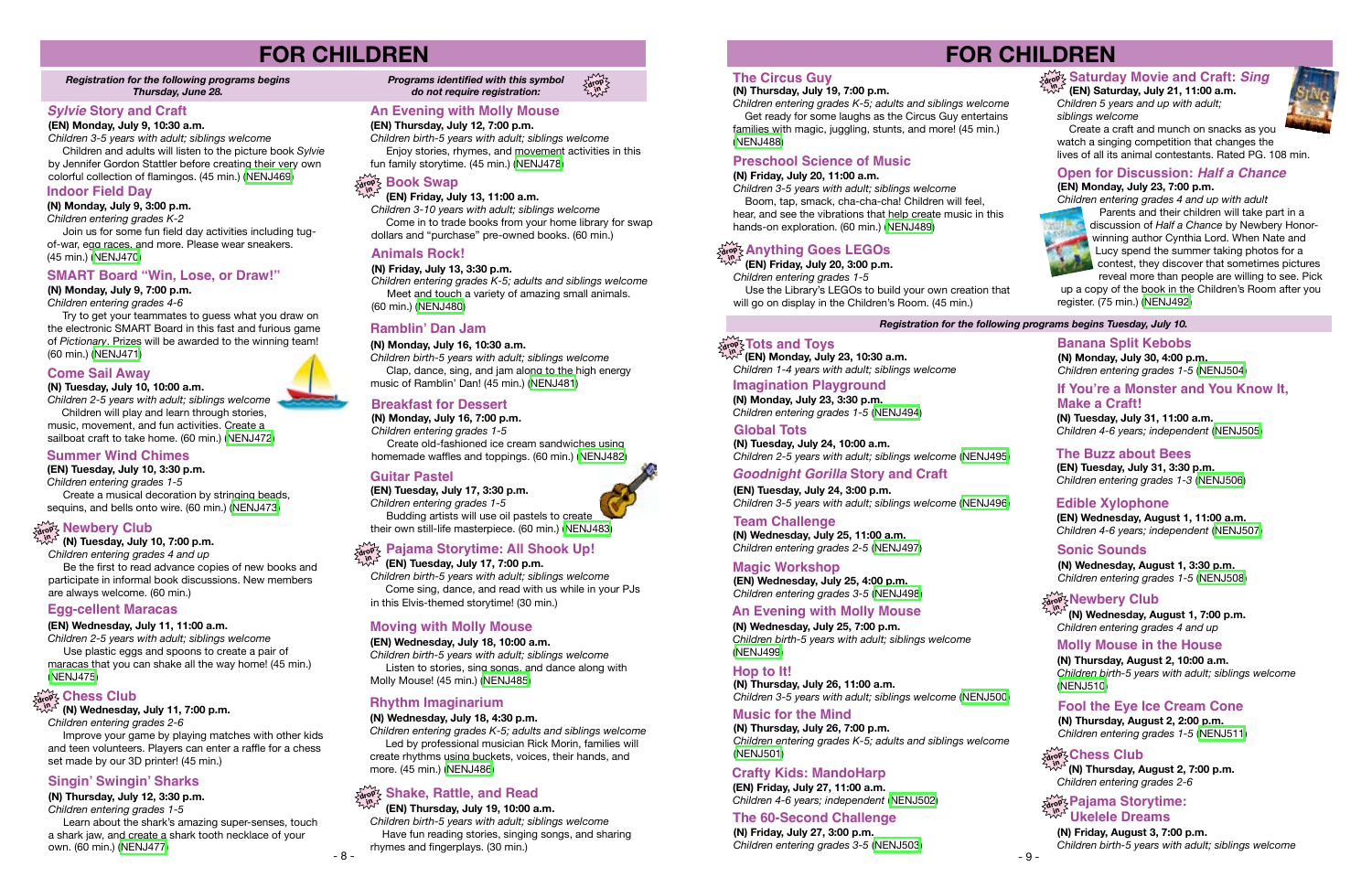# **FOR CHILDREN**

#### *Registration for the following programs begins Tuesday, July 10.*

#### **(N) Thursday, July 19, 7:00 p.m. The Circus Guy**

*Children entering grades K-5; adults and siblings welcome* Get ready for some laughs as the Circus Guy entertains families with magic, juggling, stunts, and more! (45 min.) [\(NENJ488\)](https://search.livebrary.com/record%3Dg1081442~S43)

#### **(N) Friday, July 20, 11:00 a.m.**

*Children 3-5 years with adult; siblings welcome* Boom, tap, smack, cha-cha-cha! Children will feel, hear, and see the vibrations that help create music in this hands-on exploration. (60 min.) [\(NENJ489\)](https://search.livebrary.com/record%3Dg1081443~S43)

તેન્૦૧⊱ Saturday Movie and Crait:<br><sup>⊁</sup> (EN) Saturday, July 21, 11:00 a.m. *Children 5 years and up with adult; siblings welcome*  **Saturday Movie and Craft:** *Sing*



#### **Preschool Science of Music**

#### **in (EN) Friday, July 20, 3:00 p.m.**

*Children entering grades 1-5* Use the Library's LEGOs to build your own creation that

## **drop Anything Goes LEGOs**

will go on display in the Children's Room. (45 min.)

 Create a craft and munch on snacks as you watch a singing competition that changes the lives of all its animal contestants. Rated PG. 108 min.

*Children entering grades 4 and up with adult* Parents and their children will take part in a discussion of *Half a Chance* by Newbery Honorwinning author Cynthia Lord. When Nate and Lucy spend the summer taking photos for a contest, they discover that sometimes pictures reveal more than people are willing to see. Pick

#### **(EN) Monday, July 23, 7:00 p.m. Open for Discussion:** *Half a Chance*

up a copy of the book in the Children's Room after you register. (75 min.) ([NENJ492](https://search.livebrary.com/record%3Dg1081636~S43))

**(EN) Monday, July 23, 10:30 a.m.** *Children 1-4 years with adult; siblings welcome*

# **drop in Tots and Toys**

**(N) Monday, July 23, 3:30 p.m. Imagination Playground**

*Children entering grades 1-5* ([NENJ494](https://search.livebrary.com/record%3Dg1081444~S43))

**(N) Tuesday, July 24, 10:00 a.m.** *Children 2-5 years with adult; siblings welcome* [\(NENJ495\)](https://search.livebrary.com/record%3Dg1081445~S43)

#### **Global Tots**

**(EN) Tuesday, July 24, 3:00 p.m.** *Children 3-5 years with adult; siblings welcome* [\(NENJ496\)](https://search.livebrary.com/record%3Dg1081644~S43)

#### *Goodnight Gorilla* **Story and Craft**

**(N) Wednesday, July 25, 11:00 a.m.** *Children entering grades 2-5* ([NENJ497](https://search.livebrary.com/record%3Dg1081446~S43))

**Team Challenge**

**(EN) Wednesday, July 25, 4:00 p.m.** *Children entering grades 3-5* [\(NENJ498\)](https://search.livebrary.com/record%3Dg1081651~S43)

#### **Magic Workshop**

*Programs identified with this symbol*  $d$ *o* not require registration:

> **(N) Wednesday, July 25, 7:00 p.m.** *Children birth-5 years with adult; siblings welcome* [\(NENJ499](https://search.livebrary.com/record%3Dg1081447~S43))

#### **An Evening with Molly Mouse**

**(N) Thursday, July 26, 11:00 a.m.** *Children 3-5 years with adult; siblings welcome* [\(NENJ500\)](https://search.livebrary.com/record%3Dg1081448~S43)

#### **Hop to It!**

**(N) Thursday, July 26, 7:00 p.m.** *Children entering grades K-5; adults and siblings welcome*  ([NENJ501](https://search.livebrary.com/record%3Dg1081449~S43))

#### **Music for the Mind**

#### **(EN) Friday, July 27, 11:00 a.m. Crafty Kids: MandoHarp**

*Children 4-6 years; independent* [\(NENJ502\)](https://search.livebrary.com/record%3Dg1081652~S43)

**(N) Monday, July 30, 4:00 p.m.** *Children entering grades 1-5* ([NENJ504](https://search.livebrary.com/record%3Dg1081452~S43))

#### **Banana Split Kebobs**

**(N) Tuesday, July 31, 11:00 a.m.** *Children 4-6 years; independent* ([NENJ505\)](https://search.livebrary.com/record%3Dg1081453~S43)

#### **If You're a Monster and You Know It, Make a Craft!**

**(EN) Tuesday, July 31, 3:30 p.m.** *Children entering grades 1-3* ([NENJ506](https://search.livebrary.com/record%3Dg1081655~S43))

#### **The Buzz about Bees**

**(EN) Wednesday, August 1, 11:00 a.m.** *Children 4-6 years; independent* ([NENJ507\)](https://search.livebrary.com/record%3Dg1081656~S43)

#### **Edible Xylophone**

**(N) Wednesday, August 1, 3:30 p.m.** *Children entering grades 1-5* ([NENJ508](https://search.livebrary.com/record%3Dg1081456~S43))

#### **Sonic Sounds**

**(N) Wednesday, August 1, 7:00 p.m.** *Children entering grades 4 and up*

# **drop in Newbery Club**

**(N) Thursday, August 2, 10:00 a.m. Molly Mouse in the House**

*Children birth-5 years with adult; siblings welcome* ([NENJ510\)](https://search.livebrary.com/record%3Dg1081459~S43)

**(N) Friday, July 27, 3:00 p.m.**

*Children entering grades 3-5* [\(NENJ503\)](https://search.livebrary.com/record%3Dg1081450~S43)

**The 60-Second Challenge**

**(N) Thursday, August 2, 2:00 p.m.** *Children entering grades 1-5* ([NENJ511](https://search.livebrary.com/record%3Dg1081460~S43))

**Fool the Eye Ice Cream Cone**

**(N) Thursday, August 2, 7:00 p.m.** *Children entering grades 2-6*

## **drop in Chess Club**

**(N) Friday, August 3, 7:00 p.m.** *Children birth-5 years with adult; siblings welcome*

**drop in Pajama Storytime: Ukelele Dreams**



# **FOR CHILDREN**

#### **SMART Board "Win, Lose, or Draw!"**

**(N) Monday, July 9, 7:00 p.m.**

*Children entering grades 4-6*

 Try to get your teammates to guess what you draw on the electronic SMART Board in this fast and furious game of *Pictionary*. Prizes will be awarded to the winning team! (60 min.) ([NENJ471](https://search.livebrary.com/record%3Dg1081411~S43))

 **(EN) Friday, July 13, 11:00 a.m.**

*Children 3-10 years with adult; siblings welcome* Come in to trade books from your home library for swap dollars and "purchase" pre-owned books. (60 min.)

*Registration for the following programs begins Thursday, June 28.* 



#### **(EN) Monday, July 9, 10:30 a.m.**

*Children 3-5 years with adult; siblings welcome*

 Children and adults will listen to the picture book *Sylvie*  by Jennifer Gordon Stattler before creating their very own colorful collection of flamingos. (45 min.) [\(NENJ469\)](https://search.livebrary.com/record%3Dg1081617~S43)

#### *Sylvie* **Story and Craft**

**(N) Monday, July 9, 3:00 p.m.**

*Children entering grades K-2*

 Join us for some fun field day activities including tugof-war, egg races, and more. Please wear sneakers. (45 min.) [\(NENJ470\)](https://search.livebrary.com/record%3Dg1081410~S43)

#### **Indoor Field Day**

**(N) Tuesday, July 10, 10:00 a.m.**

*Children 2-5 years with adult; siblings welcome* Children will play and learn through stories, music, movement, and fun activities. Create a sailboat craft to take home. (60 min.) ([NENJ472\)](https://search.livebrary.com/record%3Dg1081434~S43)

#### **Come Sail Away**

**(EN) Tuesday, July 10, 3:30 p.m.**

*Children entering grades 1-5* Create a musical decoration by stringing beads, sequins, and bells onto wire. (60 min.) [\(NENJ473](https://search.livebrary.com/record%3Dg1081619~S43))

#### **Summer Wind Chimes**

*Children entering grades 4 and up*

 Be the first to read advance copies of new books and participate in informal book discussions. New members are always welcome. (60 min.)

# **drop in Pajama Storytime: All Shook Up!**

### **Newbery Club**

ಹಿರ್ಿ Newbery Club<br><sup>ಸ್ಸಭ್</sup> (N) Tuesday, July 10, 7:00 p.m.

**(EN) Wednesday, July 11, 11:00 a.m.**

*Children 2-5 years with adult; siblings welcome* Use plastic eggs and spoons to create a pair of maracas that you can shake all the way home! (45 min.) [\(NENJ475](https://search.livebrary.com/record%3Dg1081620~S43))

#### **Egg-cellent Maracas**

 **(N) Wednesday, July 11, 7:00 p.m.**

*Children entering grades 2-6*

# **drop in Chess Club**

 Improve your game by playing matches with other kids and teen volunteers. Players can enter a raffle for a chess set made by our 3D printer! (45 min.)

**(N) Thursday, July 12, 3:30 p.m.** *Children entering grades 1-5*

 Learn about the shark's amazing super-senses, touch a shark jaw, and create a shark tooth necklace of your own. (60 min.) ([NENJ477](https://search.livebrary.com/record%3Dg1081437~S43))

#### **Singin' Swingin' Sharks**

#### **(EN) Thursday, July 12, 7:00 p.m.**

*Children birth-5 years with adult; siblings welcome* Enjoy stories, rhymes, and movement activities in this fun family storytime. (45 min.) [\(NENJ478\)](https://search.livebrary.com/record%3Dg1081621~S43)

# $\frac{1}{2}$  are  $\frac{1}{2}$  Book Swap

#### **An Evening with Molly Mouse**

#### **(N) Friday, July 13, 3:30 p.m.**

*Children entering grades K-5; adults and siblings welcome* Meet and touch a variety of amazing small animals. (60 min.) ([NENJ480](https://search.livebrary.com/record%3Dg1081438~S43))

#### **Animals Rock!**

**(N) Monday, July 16, 10:30 a.m.**

*Children birth-5 years with adult; siblings welcome* Clap, dance, sing, and jam along to the high energy music of Ramblin' Dan! (45 min.) [\(NENJ481](https://search.livebrary.com/record%3Dg1081439~S43))

#### **Ramblin' Dan Jam**

**(N) Monday, July 16, 7:00 p.m.**

*Children entering grades 1-5* Create old-fashioned ice cream sandwiches using homemade waffles and toppings. (60 min.) ([NENJ482](https://search.livebrary.com/record%3Dg1081440~S43))

#### **Breakfast for Dessert**

#### **(EN) Tuesday, July 17, 7:00 p.m.**

*Children birth-5 years with adult; siblings welcome* Come sing, dance, and read with us while in your PJs in this Elvis-themed storytime! (30 min.)

**(EN) Tuesday, July 17, 3:30 p.m.**

*Children entering grades 1-5* Budding artists will use oil pastels to create their own still-life masterpiece. (60 min.) ([NENJ483](https://search.livebrary.com/record%3Dg1081626~S43))

#### **Guitar Pastel**

**(EN) Wednesday, July 18, 10:00 a.m.**

*Children birth-5 years with adult; siblings welcome*

 Listen to stories, sing songs, and dance along with Molly Mouse! (45 min.) [\(NENJ485](https://search.livebrary.com/record%3Dg1081631~S43))

#### **Moving with Molly Mouse**

#### **(N) Wednesday, July 18, 4:30 p.m.**

*Children entering grades K-5; adults and siblings welcome*

 Led by professional musician Rick Morin, families will create rhythms using buckets, voices, their hands, and more. (45 min.) [\(NENJ486\)](https://search.livebrary.com/record%3Dg1081441~S43)

# $\frac{\partial \mathbf{p}}{\partial \mathbf{p}}$  Shake, Rattle, and Read

#### **Rhythm Imaginarium**

#### **(EN) Thursday, July 19, 10:00 a.m.**

*Children birth-5 years with adult; siblings welcome* Have fun reading stories, singing songs, and sharing rhymes and fingerplays. (30 min.)